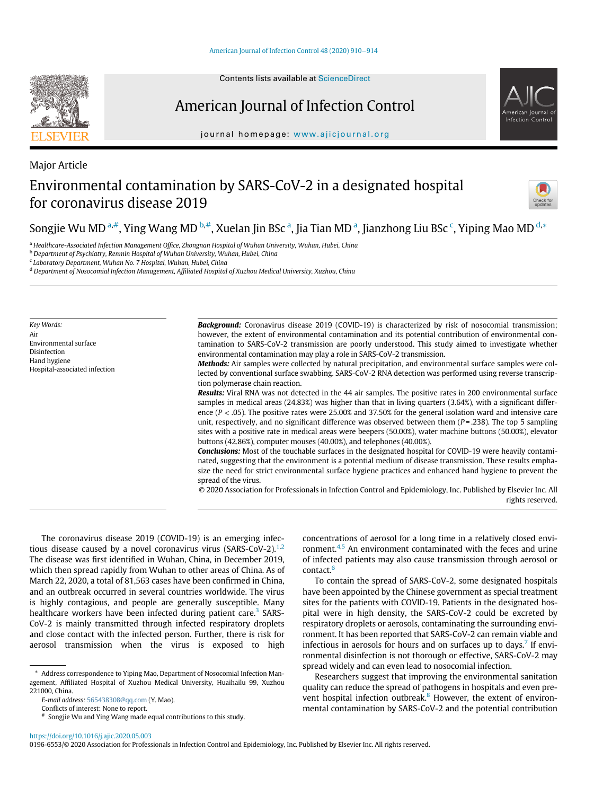#### [American Journal of Infection Control 48 \(2020\) 910](https://doi.org/10.1016/j.ajic.2020.05.003)−914

## American Journal of Infection Control

journal homepage: [www.ajicjournal.org](http://www.ajicjournal.org)

# Environmental contamination by SARS-CoV-2 in a designated hospital for coronavirus disease 2019

Songjie Wu MD <sup>[a,](#page-0-0)[#](#page-0-1)</sup>, Ying Wang MD <sup>[b,](#page-0-2)#</sup>, Xuel[a](#page-0-0)n Jin BS[c](#page-0-3) <sup>a</sup>, Jia Tian MD <sup>a</sup>, Jianzhong Liu BSc <sup>c</sup>, Yiping Mao MD <sup>[d,](#page-0-4)</sup>[\\*](#page-0-5)

<span id="page-0-0"></span>a Healthcare-Associated Infection Management Office, Zhongnan Hospital of Wuhan University, Wuhan, Hubei, China

<span id="page-0-2"></span><sup>b</sup> Department of Psychiatry, Renmin Hospital of Wuhan University, Wuhan, Hubei, China

<span id="page-0-3"></span><sup>c</sup> Laboratory Department, Wuhan No. 7 Hospital, Wuhan, Hubei, China

<span id="page-0-4"></span><sup>d</sup> Department of Nosocomial Infection Management, Affiliated Hospital of Xuzhou Medical University, Xuzhou, China

Key Words: Air Environmental surface Disinfection Hand hygiene Hospital-associated infection Background: Coronavirus disease 2019 (COVID-19) is characterized by risk of nosocomial transmission; however, the extent of environmental contamination and its potential contribution of environmental contamination to SARS-CoV-2 transmission are poorly understood. This study aimed to investigate whether environmental contamination may play a role in SARS-CoV-2 transmission.

Methods: Air samples were collected by natural precipitation, and environmental surface samples were collected by conventional surface swabbing. SARS-CoV-2 RNA detection was performed using reverse transcription polymerase chain reaction.

Results: Viral RNA was not detected in the 44 air samples. The positive rates in 200 environmental surface samples in medical areas (24.83%) was higher than that in living quarters (3.64%), with a significant difference ( $P < .05$ ). The positive rates were 25.00% and 37.50% for the general isolation ward and intensive care unit, respectively, and no significant difference was observed between them  $(P = .238)$ . The top 5 sampling sites with a positive rate in medical areas were beepers (50.00%), water machine buttons (50.00%), elevator buttons (42.86%), computer mouses (40.00%), and telephones (40.00%).

**Conclusions:** Most of the touchable surfaces in the designated hospital for COVID-19 were heavily contaminated, suggesting that the environment is a potential medium of disease transmission. These results emphasize the need for strict environmental surface hygiene practices and enhanced hand hygiene to prevent the spread of the virus.

© 2020 Association for Professionals in Infection Control and Epidemiology, Inc. Published by Elsevier Inc. All rights reserved.

The coronavirus disease 2019 (COVID-19) is an emerging infec-tious disease caused by a novel coronavirus virus (SARS-CoV-[2](#page-3-1)). $^{1,2}$  $^{1,2}$  $^{1,2}$ The disease was first identified in Wuhan, China, in December 2019, which then spread rapidly from Wuhan to other areas of China. As of March 22, 2020, a total of 81,563 cases have been confirmed in China, and an outbreak occurred in several countries worldwide. The virus is highly contagious, and people are generally susceptible. Many healthcare workers have been infected during patient care.<sup>[3](#page-3-2)</sup> SARS-CoV-2 is mainly transmitted through infected respiratory droplets and close contact with the infected person. Further, there is risk for aerosol transmission when the virus is exposed to high

<span id="page-0-5"></span>\* Address correspondence to Yiping Mao, Department of Nosocomial Infection Management, Affiliated Hospital of Xuzhou Medical University, Huaihailu 99, Xuzhou 221000, China.

E-mail address: [565438308@qq.com](mailto:565438308@qq.com) (Y. Mao).

Conflicts of interest: None to report.

Songjie Wu and Ying Wang made equal contributions to this study.

concentrations of aerosol for a long time in a relatively closed envi-ronment.<sup>[4](#page-3-3)[,5](#page-3-4)</sup> An environment contaminated with the feces and urine of infected patients may also cause transmission through aerosol or contact.<sup>[6](#page-4-0)</sup>

To contain the spread of SARS-CoV-2, some designated hospitals have been appointed by the Chinese government as special treatment sites for the patients with COVID-19. Patients in the designated hospital were in high density, the SARS-CoV-2 could be excreted by respiratory droplets or aerosols, contaminating the surrounding environment. It has been reported that SARS-CoV-2 can remain viable and infectious in aerosols for hours and on surfaces up to days.<sup>[7](#page-4-1)</sup> If environmental disinfection is not thorough or effective, SARS-CoV-2 may spread widely and can even lead to nosocomial infection.

Researchers suggest that improving the environmental sanitation quality can reduce the spread of pathogens in hospitals and even prevent hospital infection outbreak. $8$  However, the extent of environmental contamination by SARS-CoV-2 and the potential contribution

<span id="page-0-1"></span><https://doi.org/10.1016/j.ajic.2020.05.003>



Major Article



<sup>0196-6553/© 2020</sup> Association for Professionals in Infection Control and Epidemiology, Inc. Published by Elsevier Inc. All rights reserved.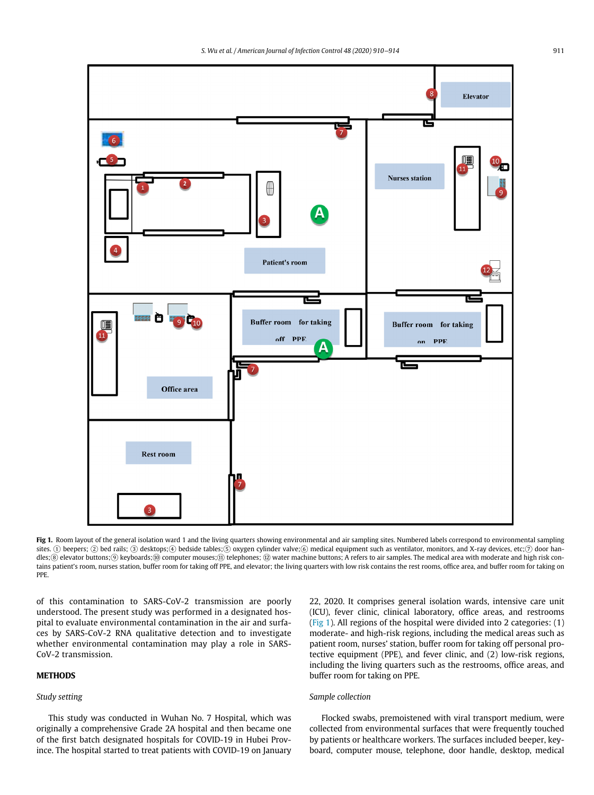<span id="page-1-0"></span>

Fig 1. Room layout of the general isolation ward 1 and the living quarters showing environmental and air sampling sites. Numbered labels correspond to environmental sampling sites. ① beepers; ② bed rails; ③ desktops;4 bedside tables;⑤ oxygen cylinder valve;⑥ medical equipment such as ventilator, monitors, and X-ray devices, etc;⑦ door handles;⑧ elevator buttons;⑨ keyboards;⑩ computer mouses;⑪ telephones; ⑫ water machine buttons; A refers to air samples. The medical area with moderate and high risk contains patient's room, nurses station, buffer room for taking off PPE, and elevator; the living quarters with low risk contains the rest rooms, office area, and buffer room for taking on PPE.

of this contamination to SARS-CoV-2 transmission are poorly understood. The present study was performed in a designated hospital to evaluate environmental contamination in the air and surfaces by SARS-CoV-2 RNA qualitative detection and to investigate whether environmental contamination may play a role in SARS-CoV-2 transmission.

### Study setting

This study was conducted in Wuhan No. 7 Hospital, which was originally a comprehensive Grade 2A hospital and then became one of the first batch designated hospitals for COVID-19 in Hubei Province. The hospital started to treat patients with COVID-19 on January 22, 2020. It comprises general isolation wards, intensive care unit (ICU), fever clinic, clinical laboratory, office areas, and restrooms ([Fig 1](#page-1-0)). All regions of the hospital were divided into 2 categories: (1) moderate- and high-risk regions, including the medical areas such as patient room, nurses' station, buffer room for taking off personal protective equipment (PPE), and fever clinic, and (2) low-risk regions, including the living quarters such as the restrooms, office areas, and buffer room for taking on PPE.

#### Sample collection

Flocked swabs, premoistened with viral transport medium, were collected from environmental surfaces that were frequently touched by patients or healthcare workers. The surfaces included beeper, keyboard, computer mouse, telephone, door handle, desktop, medical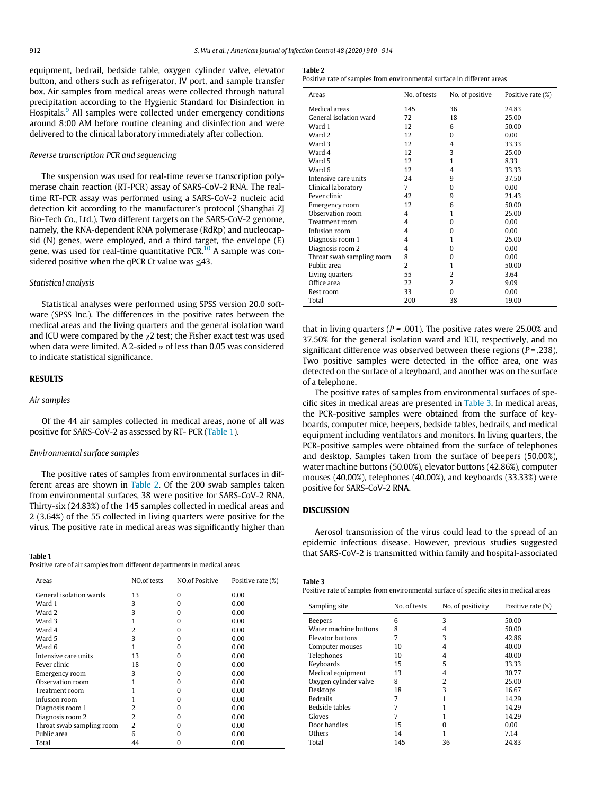<span id="page-2-1"></span>equipment, bedrail, bedside table, oxygen cylinder valve, elevator button, and others such as refrigerator, IV port, and sample transfer box. Air samples from medical areas were collected through natural precipitation according to the Hygienic Standard for Disinfection in Hospitals.<sup>[9](#page-4-3)</sup> All samples were collected under emergency conditions around 8:00 AM before routine cleaning and disinfection and were delivered to the clinical laboratory immediately after collection.

#### Reverse transcription PCR and sequencing

The suspension was used for real-time reverse transcription polymerase chain reaction (RT-PCR) assay of SARS-CoV-2 RNA. The realtime RT-PCR assay was performed using a SARS-CoV-2 nucleic acid detection kit according to the manufacturer's protocol (Shanghai ZJ Bio-Tech Co., Ltd.). Two different targets on the SARS-CoV-2 genome, namely, the RNA-dependent RNA polymerase (RdRp) and nucleocapsid (N) genes, were employed, and a third target, the envelope (E) gene, was used for real-time quantitative PCR. $10$  A sample was considered positive when the qPCR Ct value was  $\leq 43$ .

#### Statistical analysis

Statistical analyses were performed using SPSS version 20.0 software (SPSS Inc.). The differences in the positive rates between the medical areas and the living quarters and the general isolation ward and ICU were compared by the  $\chi$ 2 test; the Fisher exact test was used when data were limited. A 2-sided  $\alpha$  of less than 0.05 was considered to indicate statistical significance.

#### **RESULTS**

#### Air samples

Of the 44 air samples collected in medical areas, none of all was positive for SARS-CoV-2 as assessed by RT- PCR [\(Table 1](#page-2-0)).

### Environmental surface samples

The positive rates of samples from environmental surfaces in different areas are shown in [Table 2](#page-2-1). Of the 200 swab samples taken from environmental surfaces, 38 were positive for SARS-CoV-2 RNA. Thirty-six (24.83%) of the 145 samples collected in medical areas and 2 (3.64%) of the 55 collected in living quarters were positive for the virus. The positive rate in medical areas was significantly higher than

<span id="page-2-0"></span>Positive rate of air samples from different departments in medical areas

<span id="page-2-2"></span>

| Areas                     | NO.of tests    | <b>NO.of Positive</b> | Positive rate (%) |
|---------------------------|----------------|-----------------------|-------------------|
| General isolation wards   | 13             | n                     | 0.00              |
| Ward 1                    | 3              | o                     | 0.00              |
| Ward 2                    | 3              | o                     | 0.00              |
| Ward 3                    |                | n                     | 0.00              |
| Ward 4                    | 2              | o                     | 0.00              |
| Ward 5                    | 3              | o                     | 0.00              |
| Ward 6                    |                | o                     | 0.00              |
| Intensive care units      | 13             | o                     | 0.00              |
| Fever clinic              | 18             | o                     | 0.00              |
| Emergency room            | 3              | o                     | 0.00              |
| Observation room          |                | o                     | 0.00              |
| Treatment room            |                | o                     | 0.00              |
| Infusion room             |                | o                     | 0.00              |
| Diagnosis room 1          |                | o                     | 0.00              |
| Diagnosis room 2          | 2              |                       | 0.00              |
| Throat swab sampling room | $\overline{2}$ | n                     | 0.00              |
| Public area               | 6              | n                     | 0.00              |
| Total                     | 44             | O                     | 0.00              |

#### **Table 2**

Positive rate of samples from environmental surface in different areas

| Areas                     | No. of tests | No. of positive | Positive rate (%) |
|---------------------------|--------------|-----------------|-------------------|
| Medical areas             | 145          | 36              | 24.83             |
| General isolation ward    | 72           | 18              | 25.00             |
| Ward 1                    | 12           | 6               | 50.00             |
| Ward 2                    | 12           | $\Omega$        | 0.00              |
| Ward 3                    | 12           | 4               | 33.33             |
| Ward 4                    | 12           | 3               | 25.00             |
| Ward 5                    | 12           | 1               | 8.33              |
| Ward 6                    | 12           | 4               | 33.33             |
| Intensive care units      | 24           | 9               | 37.50             |
| Clinical laboratory       | 7            | $\Omega$        | 0.00              |
| Fever clinic              | 42           | 9               | 21.43             |
| Emergency room            | 12           | 6               | 50.00             |
| Observation room          | 4            | 1               | 25.00             |
| Treatment room            | 4            | $\Omega$        | 0.00              |
| Infusion room             | 4            | O               | 0.00              |
| Diagnosis room 1          | 4            | 1               | 25.00             |
| Diagnosis room 2          | 4            | O               | 0.00              |
| Throat swab sampling room | 8            | 0               | 0.00              |
| Public area               | 2            | 1               | 50.00             |
| Living quarters           | 55           | 2               | 3.64              |
| Office area               | 22           | 2               | 9.09              |
| Rest room                 | 33           | 0               | 0.00              |
| Total                     | 200          | 38              | 19.00             |

that in living quarters ( $P = .001$ ). The positive rates were 25.00% and 37.50% for the general isolation ward and ICU, respectively, and no significant difference was observed between these regions ( $P = .238$ ). Two positive samples were detected in the office area, one was detected on the surface of a keyboard, and another was on the surface of a telephone.

The positive rates of samples from environmental surfaces of specific sites in medical areas are presented in [Table 3.](#page-2-2) In medical areas, the PCR-positive samples were obtained from the surface of keyboards, computer mice, beepers, bedside tables, bedrails, and medical equipment including ventilators and monitors. In living quarters, the PCR-positive samples were obtained from the surface of telephones and desktop. Samples taken from the surface of beepers (50.00%), water machine buttons (50.00%), elevator buttons (42.86%), computer mouses (40.00%), telephones (40.00%), and keyboards (33.33%) were positive for SARS-CoV-2 RNA.

### **DISCUSSION**

Aerosol transmission of the virus could lead to the spread of an epidemic infectious disease. However, previous studies suggested that SARS-CoV-2 is transmitted within family and hospital-associated

| Table 3                                                                                |
|----------------------------------------------------------------------------------------|
| Positive rate of samples from environmental surface of specific sites in medical areas |

| Sampling site         | No. of tests | No. of positivity | Positive rate (%) |
|-----------------------|--------------|-------------------|-------------------|
| <b>Beepers</b>        | 6            | 3                 | 50.00             |
| Water machine buttons | 8            | 4                 | 50.00             |
| Elevator buttons      |              | 3                 | 42.86             |
| Computer mouses       | 10           | 4                 | 40.00             |
| Telephones            | 10           | 4                 | 40.00             |
| Keyboards             | 15           | 5                 | 33.33             |
| Medical equipment     | 13           | 4                 | 30.77             |
| Oxygen cylinder valve | 8            | 2                 | 25.00             |
| Desktops              | 18           | 3                 | 16.67             |
| <b>Bedrails</b>       |              |                   | 14.29             |
| Bedside tables        |              |                   | 14.29             |
| Gloves                |              |                   | 14.29             |
| Door handles          | 15           | O                 | 0.00              |
| Others                | 14           |                   | 7.14              |
| Total                 | 145          | 36                | 24.83             |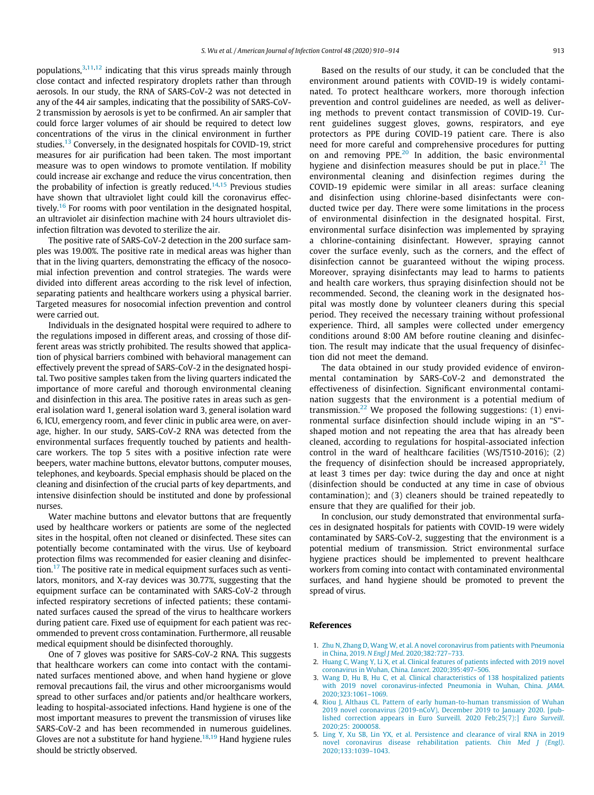populations,  $3,11,12$  $3,11,12$  $3,11,12$  $3,11,12$  $3,11,12$  indicating that this virus spreads mainly through close contact and infected respiratory droplets rather than through aerosols. In our study, the RNA of SARS-CoV-2 was not detected in any of the 44 air samples, indicating that the possibility of SARS-CoV-2 transmission by aerosols is yet to be confirmed. An air sampler that could force larger volumes of air should be required to detect low concentrations of the virus in the clinical environment in further studies.<sup>[13](#page-4-7)</sup> Conversely, in the designated hospitals for COVID-19, strict measures for air purification had been taken. The most important measure was to open windows to promote ventilation. If mobility could increase air exchange and reduce the virus concentration, then the probability of infection is greatly reduced.<sup>[14](#page-4-8),[15](#page-4-9)</sup> Previous studies have shown that ultraviolet light could kill the coronavirus effec-tively.<sup>[16](#page-4-10)</sup> For rooms with poor ventilation in the designated hospital, an ultraviolet air disinfection machine with 24 hours ultraviolet disinfection filtration was devoted to sterilize the air.

The positive rate of SARS-CoV-2 detection in the 200 surface samples was 19.00%. The positive rate in medical areas was higher than that in the living quarters, demonstrating the efficacy of the nosocomial infection prevention and control strategies. The wards were divided into different areas according to the risk level of infection, separating patients and healthcare workers using a physical barrier. Targeted measures for nosocomial infection prevention and control were carried out.

Individuals in the designated hospital were required to adhere to the regulations imposed in different areas, and crossing of those different areas was strictly prohibited. The results showed that application of physical barriers combined with behavioral management can effectively prevent the spread of SARS-CoV-2 in the designated hospital. Two positive samples taken from the living quarters indicated the importance of more careful and thorough environmental cleaning and disinfection in this area. The positive rates in areas such as general isolation ward 1, general isolation ward 3, general isolation ward 6, ICU, emergency room, and fever clinic in public area were, on average, higher. In our study, SARS-CoV-2 RNA was detected from the environmental surfaces frequently touched by patients and healthcare workers. The top 5 sites with a positive infection rate were beepers, water machine buttons, elevator buttons, computer mouses, telephones, and keyboards. Special emphasis should be placed on the cleaning and disinfection of the crucial parts of key departments, and intensive disinfection should be instituted and done by professional nurses.

Water machine buttons and elevator buttons that are frequently used by healthcare workers or patients are some of the neglected sites in the hospital, often not cleaned or disinfected. These sites can potentially become contaminated with the virus. Use of keyboard protection films was recommended for easier cleaning and disinfection[.17](#page-4-11) The positive rate in medical equipment surfaces such as ventilators, monitors, and X-ray devices was 30.77%, suggesting that the equipment surface can be contaminated with SARS-CoV-2 through infected respiratory secretions of infected patients; these contaminated surfaces caused the spread of the virus to healthcare workers during patient care. Fixed use of equipment for each patient was recommended to prevent cross contamination. Furthermore, all reusable medical equipment should be disinfected thoroughly.

<span id="page-3-4"></span><span id="page-3-3"></span><span id="page-3-2"></span><span id="page-3-1"></span><span id="page-3-0"></span>One of 7 gloves was positive for SARS-CoV-2 RNA. This suggests that healthcare workers can come into contact with the contaminated surfaces mentioned above, and when hand hygiene or glove removal precautions fail, the virus and other microorganisms would spread to other surfaces and/or patients and/or healthcare workers, leading to hospital-associated infections. Hand hygiene is one of the most important measures to prevent the transmission of viruses like SARS-CoV-2 and has been recommended in numerous guidelines. Gloves are not a substitute for hand hygiene.<sup>[18,](#page-4-12)[19](#page-4-13)</sup> Hand hygiene rules should be strictly observed.

Based on the results of our study, it can be concluded that the environment around patients with COVID-19 is widely contaminated. To protect healthcare workers, more thorough infection prevention and control guidelines are needed, as well as delivering methods to prevent contact transmission of COVID-19. Current guidelines suggest gloves, gowns, respirators, and eye protectors as PPE during COVID-19 patient care. There is also need for more careful and comprehensive procedures for putting on and removing PPE.<sup>[20](#page-4-14)</sup> In addition, the basic environmental hygiene and disinfection measures should be put in place.<sup>[21](#page-4-15)</sup> The environmental cleaning and disinfection regimes during the COVID-19 epidemic were similar in all areas: surface cleaning and disinfection using chlorine-based disinfectants were conducted twice per day. There were some limitations in the process of environmental disinfection in the designated hospital. First, environmental surface disinfection was implemented by spraying a chlorine-containing disinfectant. However, spraying cannot cover the surface evenly, such as the corners, and the effect of disinfection cannot be guaranteed without the wiping process. Moreover, spraying disinfectants may lead to harms to patients and health care workers, thus spraying disinfection should not be recommended. Second, the cleaning work in the designated hospital was mostly done by volunteer cleaners during this special period. They received the necessary training without professional experience. Third, all samples were collected under emergency conditions around 8:00 AM before routine cleaning and disinfection. The result may indicate that the usual frequency of disinfection did not meet the demand.

The data obtained in our study provided evidence of environmental contamination by SARS-CoV-2 and demonstrated the effectiveness of disinfection. Significant environmental contamination suggests that the environment is a potential medium of transmission.<sup>[22](#page-4-16)</sup> We proposed the following suggestions:  $(1)$  environmental surface disinfection should include wiping in an "S" shaped motion and not repeating the area that has already been cleaned, according to regulations for hospital-associated infection control in the ward of healthcare facilities (WS/T510-2016); (2) the frequency of disinfection should be increased appropriately, at least 3 times per day: twice during the day and once at night (disinfection should be conducted at any time in case of obvious contamination); and (3) cleaners should be trained repeatedly to ensure that they are qualified for their job.

In conclusion, our study demonstrated that environmental surfaces in designated hospitals for patients with COVID-19 were widely contaminated by SARS-CoV-2, suggesting that the environment is a potential medium of transmission. Strict environmental surface hygiene practices should be implemented to prevent healthcare workers from coming into contact with contaminated environmental surfaces, and hand hygiene should be promoted to prevent the spread of virus.

#### **References**

- 1. [Zhu N, Zhang D, Wang W, et al. A novel coronavirus from patients with Pneumonia](http://refhub.elsevier.com/S0196-6553(20)30275-3/sbref0001) in China, 2019. N Engl J Med[. 2020;382:727](http://refhub.elsevier.com/S0196-6553(20)30275-3/sbref0001)–733.
- 2. [Huang C, Wang Y, Li X, et al. Clinical features of patients infected with 2019 novel](http://refhub.elsevier.com/S0196-6553(20)30275-3/sbref0002) [coronavirus in Wuhan, China.](http://refhub.elsevier.com/S0196-6553(20)30275-3/sbref0002) Lancet. 2020;395:497–506.
- 3. [Wang D, Hu B, Hu C, et al. Clinical characteristics of 138 hospitalized patients](http://refhub.elsevier.com/S0196-6553(20)30275-3/sbref0003) [with 2019 novel coronavirus-infected Pneumonia in Wuhan, China.](http://refhub.elsevier.com/S0196-6553(20)30275-3/sbref0003) JAMA. [2020;323:1061](http://refhub.elsevier.com/S0196-6553(20)30275-3/sbref0003)–1069.
- 4. Riou J, Althaus CL. Pattern [of early human-to-human transmission of Wuhan](http://refhub.elsevier.com/S0196-6553(20)30275-3/sbref0004) [2019 novel coronavirus \(2019-nCoV\), December 2019 to January 2020. \[pub](http://refhub.elsevier.com/S0196-6553(20)30275-3/sbref0004)[lished correction appears in Euro Surveill. 2020 Feb;25\(7\):\]](http://refhub.elsevier.com/S0196-6553(20)30275-3/sbref0004) Euro Surveill. [2020;25: 2000058.](http://refhub.elsevier.com/S0196-6553(20)30275-3/sbref0004)
- 5. [Ling Y, Xu SB, Lin YX, et al. Persistence and clearance of viral RNA in 2019](http://refhub.elsevier.com/S0196-6553(20)30275-3/sbref0005) [novel coronavirus disease rehabilitation patients.](http://refhub.elsevier.com/S0196-6553(20)30275-3/sbref0005) Chin Med J (Engl). [2020;133:1039](http://refhub.elsevier.com/S0196-6553(20)30275-3/sbref0005)–1043.